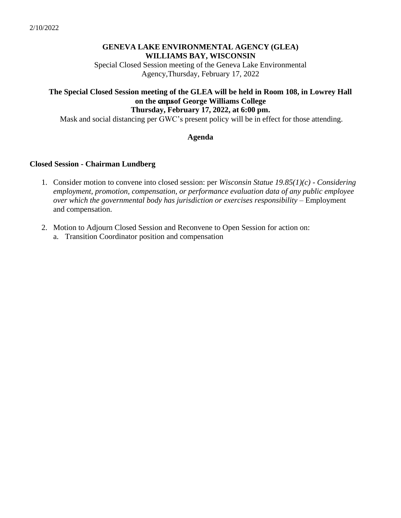## **GENEVA LAKE ENVIRONMENTAL AGENCY (GLEA) WILLIAMS BAY, WISCONSIN**

Special Closed Session meeting of the Geneva Lake Environmental Agency,Thursday, February 17, 2022

#### **The Special Closed Session meeting of the GLEA will be held in Room 108, in Lowrey Hall on the campusof George Williams College Thursday, February 17, 2022, at 6:00 pm.**

Mask and social distancing per GWC's present policy will be in effect for those attending.

### **Agenda**

### **Closed Session - Chairman Lundberg**

- 1. Consider motion to convene into closed session: per *Wisconsin Statue 19.85(1)(c) - Considering employment, promotion, compensation, or performance evaluation data of any public employee over which the governmental body has jurisdiction or exercises responsibility –* Employment and compensation.
- 2. Motion to Adjourn Closed Session and Reconvene to Open Session for action on:
	- a. Transition Coordinator position and compensation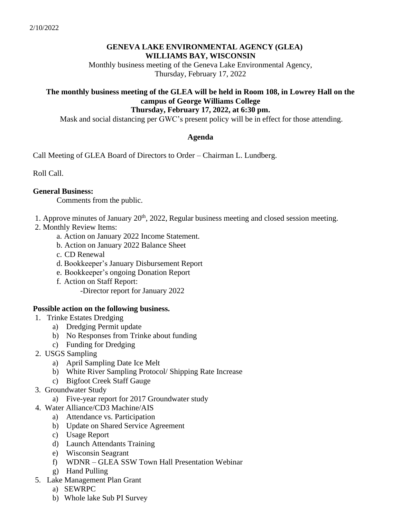### **GENEVA LAKE ENVIRONMENTAL AGENCY (GLEA) WILLIAMS BAY, WISCONSIN**

Monthly business meeting of the Geneva Lake Environmental Agency, Thursday, February 17, 2022

#### **The monthly business meeting of the GLEA will be held in Room 108, in Lowrey Hall on the campus of George Williams College Thursday, February 17, 2022, at 6:30 pm.**

Mask and social distancing per GWC's present policy will be in effect for those attending.

### **Agenda**

Call Meeting of GLEA Board of Directors to Order – Chairman L. Lundberg.

Roll Call.

### **General Business:**

Comments from the public.

- 1. Approve minutes of January  $20<sup>th</sup>$ , 2022, Regular business meeting and closed session meeting.
- 2. Monthly Review Items:
	- a. Action on January 2022 Income Statement.
	- b. Action on January 2022 Balance Sheet
	- c. CD Renewal
	- d. Bookkeeper's January Disbursement Report
	- e. Bookkeeper's ongoing Donation Report
	- f. Action on Staff Report:

-Director report for January 2022

# **Possible action on the following business.**

- 1. Trinke Estates Dredging
	- a) Dredging Permit update
	- b) No Responses from Trinke about funding
	- c) Funding for Dredging
- 2. USGS Sampling
	- a) April Sampling Date Ice Melt
	- b) White River Sampling Protocol/ Shipping Rate Increase
	- c) Bigfoot Creek Staff Gauge
- 3. Groundwater Study
	- a) Five-year report for 2017 Groundwater study
- 4. Water Alliance/CD3 Machine/AIS
	- a) Attendance vs. Participation
	- b) Update on Shared Service Agreement
	- c) Usage Report
	- d) Launch Attendants Training
	- e) Wisconsin Seagrant
	- f) WDNR GLEA SSW Town Hall Presentation Webinar
	- g) Hand Pulling
- 5. Lake Management Plan Grant
	- a) SEWRPC
	- b) Whole lake Sub PI Survey